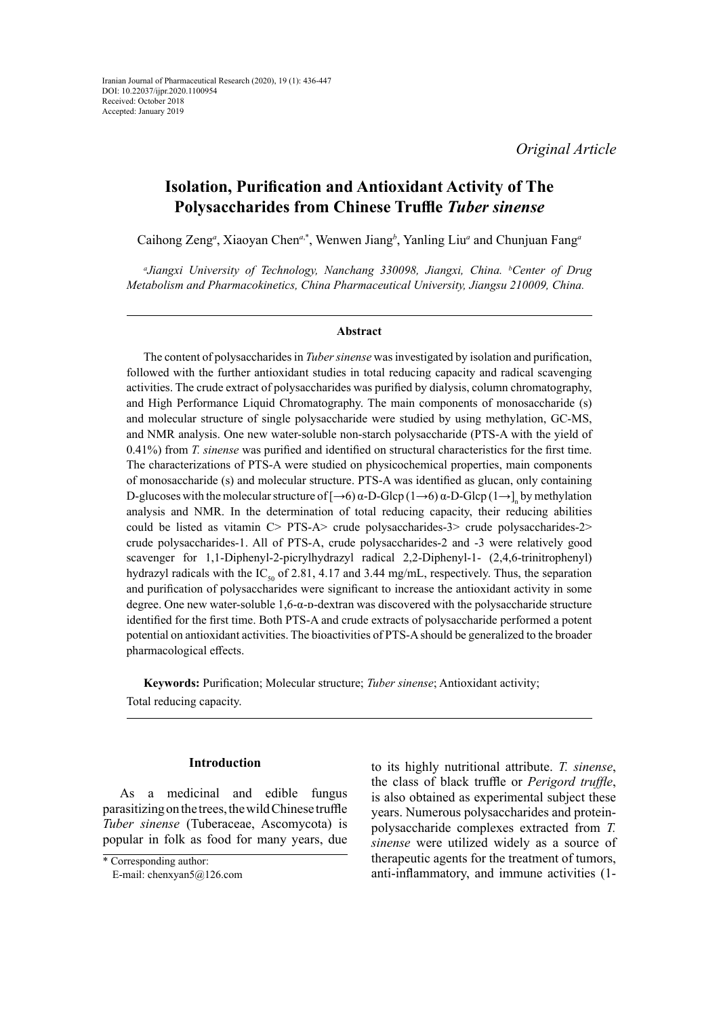*Original Article*

# **Isolation, Purification and Antioxidant Activity of The Polysaccharides from Chinese Truffle** *Tuber sinense*

Caihong Zeng*<sup>a</sup>* , Xiaoyan Chen*<sup>a</sup>*,\*, Wenwen Jiang*<sup>b</sup>* , Yanling Liu*<sup>a</sup>* and Chunjuan Fang*<sup>a</sup>*

*a Jiangxi University of Technology, Nanchang 330098, Jiangxi, China. b Center of Drug Metabolism and Pharmacokinetics, China Pharmaceutical University, Jiangsu 210009, China.*

#### **Abstract**

The content of polysaccharides in *Tuber sinense* was investigated by isolation and purification, followed with the further antioxidant studies in total reducing capacity and radical scavenging activities. The crude extract of polysaccharides was purified by dialysis, column chromatography, and High Performance Liquid Chromatography. The main components of monosaccharide (s) and molecular structure of single polysaccharide were studied by using methylation, GC-MS, and NMR analysis. One new water-soluble non-starch polysaccharide (PTS-A with the yield of 0.41%) from *T. sinense* was purified and identified on structural characteristics for the first time. The characterizations of PTS-A were studied on physicochemical properties, main components of monosaccharide (s) and molecular structure. PTS-A was identified as glucan, only containing D-glucoses with the molecular structure of  $[\rightarrow 6)$  α-D-Glcp (1→6) α-D-Glcp (1→]<sub>n</sub> by methylation analysis and NMR. In the determination of total reducing capacity, their reducing abilities could be listed as vitamin C> PTS-A> crude polysaccharides-3> crude polysaccharides-2> crude polysaccharides-1. All of PTS-A, crude polysaccharides-2 and -3 were relatively good scavenger for 1,1-Diphenyl-2-picrylhydrazyl radical 2,2-Diphenyl-1- (2,4,6-trinitrophenyl) hydrazyl radicals with the IC<sub>50</sub> of 2.81, 4.17 and 3.44 mg/mL, respectively. Thus, the separation and purification of polysaccharides were significant to increase the antioxidant activity in some degree. One new water-soluble 1,6-α-D-dextran was discovered with the polysaccharide structure identified for the first time. Both PTS-A and crude extracts of polysaccharide performed a potent potential on antioxidant activities. The bioactivities of PTS-A should be generalized to the broader pharmacological effects.

**Keywords:** Purification; Molecular structure; *Tuber sinense*; Antioxidant activity; Total reducing capacity.

#### **Introduction**

As a medicinal and edible fungus parasitizing on the trees, the wild Chinese truffle *Tuber sinense* (Tuberaceae, Ascomycota) is popular in folk as food for many years, due to its highly nutritional attribute. *T. sinense*, the class of black truffle or *Perigord truffle*, is also obtained as experimental subject these years. Numerous polysaccharides and proteinpolysaccharide complexes extracted from *T. sinense* were utilized widely as a source of therapeutic agents for the treatment of tumors, anti-inflammatory, and immune activities (1-

<sup>\*</sup> Corresponding author:

E-mail: chenxyan5@126.com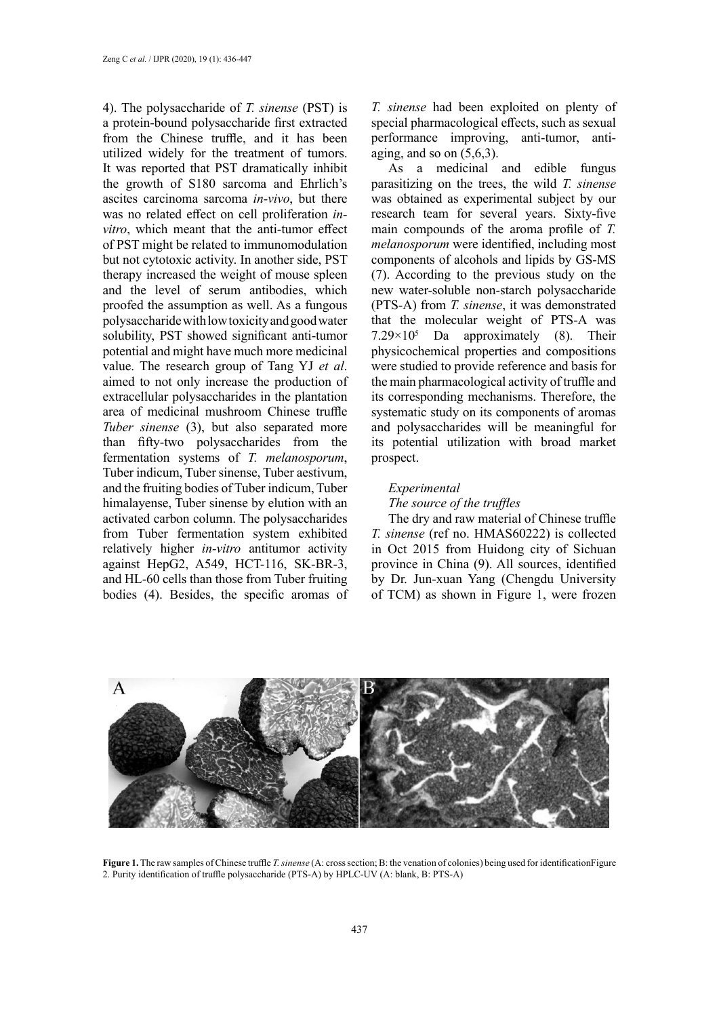4). The polysaccharide of *T. sinense* (PST) is a protein-bound polysaccharide first extracted from the Chinese truffle, and it has been utilized widely for the treatment of tumors. It was reported that PST dramatically inhibit the growth of S180 sarcoma and Ehrlich's ascites carcinoma sarcoma *in-vivo*, but there was no related effect on cell proliferation *invitro*, which meant that the anti-tumor effect of PST might be related to immunomodulation but not cytotoxic activity. In another side, PST therapy increased the weight of mouse spleen and the level of serum antibodies, which proofed the assumption as well. As a fungous polysaccharide with low toxicity and good water solubility, PST showed significant anti-tumor potential and might have much more medicinal value. The research group of Tang YJ *et al*. aimed to not only increase the production of extracellular polysaccharides in the plantation area of medicinal mushroom Chinese truffle *Tuber sinense* (3), but also separated more than fifty-two polysaccharides from the fermentation systems of *T. melanosporum*, Tuber indicum, Tuber sinense, Tuber aestivum, and the fruiting bodies of Tuber indicum, Tuber himalayense, Tuber sinense by elution with an activated carbon column. The polysaccharides from Tuber fermentation system exhibited relatively higher *in-vitro* antitumor activity against HepG2, A549, HCT-116, SK-BR-3, and HL-60 cells than those from Tuber fruiting bodies (4). Besides, the specific aromas of *T. sinense* had been exploited on plenty of special pharmacological effects, such as sexual performance improving, anti-tumor, antiaging, and so on  $(5,6,3)$ .

As a medicinal and edible fungus parasitizing on the trees, the wild *T. sinense* was obtained as experimental subject by our research team for several years. Sixty-five main compounds of the aroma profile of *T. melanosporum* were identified, including most components of alcohols and lipids by GS-MS (7). According to the previous study on the new water-soluble non-starch polysaccharide (PTS-A) from *T. sinense*, it was demonstrated that the molecular weight of PTS-A was 7.29×105 Da approximately (8). Their physicochemical properties and compositions were studied to provide reference and basis for the main pharmacological activity of truffle and its corresponding mechanisms. Therefore, the systematic study on its components of aromas and polysaccharides will be meaningful for its potential utilization with broad market prospect.

#### *Experimental*

### *The source of the truffles*

The dry and raw material of Chinese truffle *T. sinense* (ref no. HMAS60222) is collected in Oct 2015 from Huidong city of Sichuan province in China (9). All sources, identified by Dr. Jun-xuan Yang (Chengdu University of TCM) as shown in Figure 1, were frozen



Figure 1. The raw samples of Chinese truffle *T. sinense* (A: cross section; B: the venation of colonies) being used for identification Figure 2. Purity identification of truffle polysaccharide (PTS-A) by HPLC-UV (A: blank, B: PTS-A)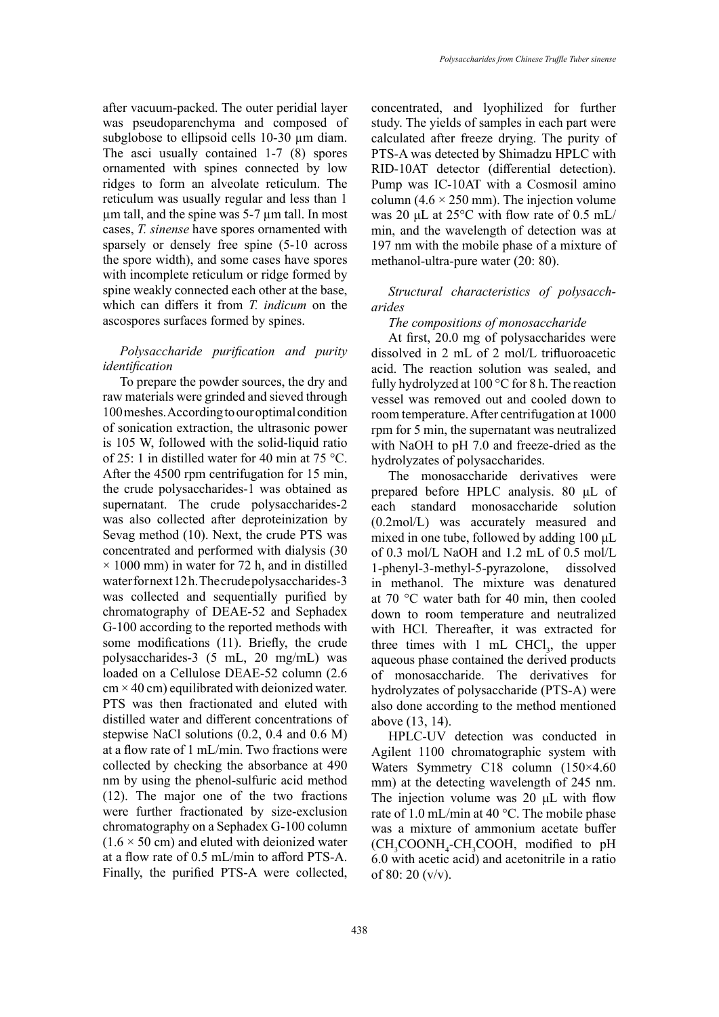after vacuum-packed. The outer peridial layer was pseudoparenchyma and composed of subglobose to ellipsoid cells 10-30 µm diam. The asci usually contained 1-7 (8) spores ornamented with spines connected by low ridges to form an alveolate reticulum. The reticulum was usually regular and less than 1 µm tall, and the spine was 5-7 µm tall. In most cases, *T. sinense* have spores ornamented with sparsely or densely free spine (5-10 across the spore width), and some cases have spores with incomplete reticulum or ridge formed by spine weakly connected each other at the base, which can differs it from *T. indicum* on the ascospores surfaces formed by spines.

# *Polysaccharide purification and purity identification*

To prepare the powder sources, the dry and raw materials were grinded and sieved through 100 meshes. According to our optimal condition of sonication extraction, the ultrasonic power is 105 W, followed with the solid-liquid ratio of 25: 1 in distilled water for 40 min at 75 °C. After the 4500 rpm centrifugation for 15 min, the crude polysaccharides-1 was obtained as supernatant. The crude polysaccharides-2 was also collected after deproteinization by Sevag method (10). Next, the crude PTS was concentrated and performed with dialysis (30  $\times$  1000 mm) in water for 72 h, and in distilled water for next 12 h. The crude polysaccharides-3 was collected and sequentially purified by chromatography of DEAE-52 and Sephadex G-100 according to the reported methods with some modifications (11). Briefly, the crude polysaccharides-3 (5 mL, 20 mg/mL) was loaded on a Cellulose DEAE-52 column (2.6  $cm \times 40$  cm) equilibrated with deionized water. PTS was then fractionated and eluted with distilled water and different concentrations of stepwise NaCl solutions (0.2, 0.4 and 0.6 M) at a flow rate of 1 mL/min. Two fractions were collected by checking the absorbance at 490 nm by using the phenol-sulfuric acid method (12). The major one of the two fractions were further fractionated by size-exclusion chromatography on a Sephadex G-100 column  $(1.6 \times 50$  cm) and eluted with deionized water at a flow rate of 0.5 mL/min to afford PTS-A. Finally, the purified PTS-A were collected,

concentrated, and lyophilized for further study. The yields of samples in each part were calculated after freeze drying. The purity of PTS-A was detected by Shimadzu HPLC with RID-10AT detector (differential detection). Pump was IC-10AT with a Cosmosil amino column (4.6  $\times$  250 mm). The injection volume was 20 μL at 25°C with flow rate of 0.5 mL/ min, and the wavelength of detection was at 197 nm with the mobile phase of a mixture of methanol-ultra-pure water (20: 80).

#### *Structural characteristics of polysaccharides*

## *The compositions of monosaccharide*

At first, 20.0 mg of polysaccharides were dissolved in 2 mL of 2 mol/L trifluoroacetic acid. The reaction solution was sealed, and fully hydrolyzed at  $100^{\circ}$ C for 8 h. The reaction vessel was removed out and cooled down to room temperature. After centrifugation at 1000 rpm for 5 min, the supernatant was neutralized with NaOH to pH 7.0 and freeze-dried as the hydrolyzates of polysaccharides.

The monosaccharide derivatives were prepared before HPLC analysis. 80 μL of each standard monosaccharide solution (0.2mol/L) was accurately measured and mixed in one tube, followed by adding 100 μL of 0.3 mol/L NaOH and 1.2 mL of 0.5 mol/L 1-phenyl-3-methyl-5-pyrazolone, dissolved in methanol. The mixture was denatured at 70 °C water bath for 40 min, then cooled down to room temperature and neutralized with HCl. Thereafter, it was extracted for three times with  $1 \text{ mL } CHCl<sub>3</sub>$ , the upper aqueous phase contained the derived products of monosaccharide. The derivatives for hydrolyzates of polysaccharide (PTS-A) were also done according to the method mentioned above (13, 14).

HPLC-UV detection was conducted in Agilent 1100 chromatographic system with Waters Symmetry C18 column (150×4.60 mm) at the detecting wavelength of 245 nm. The injection volume was 20 μL with flow rate of 1.0 mL/min at 40 °C. The mobile phase was a mixture of ammonium acetate buffer (CH<sub>3</sub>COONH<sub>4</sub>-CH<sub>3</sub>COOH, modified to pH 6.0 with acetic acid) and acetonitrile in a ratio of 80: 20 (v/v).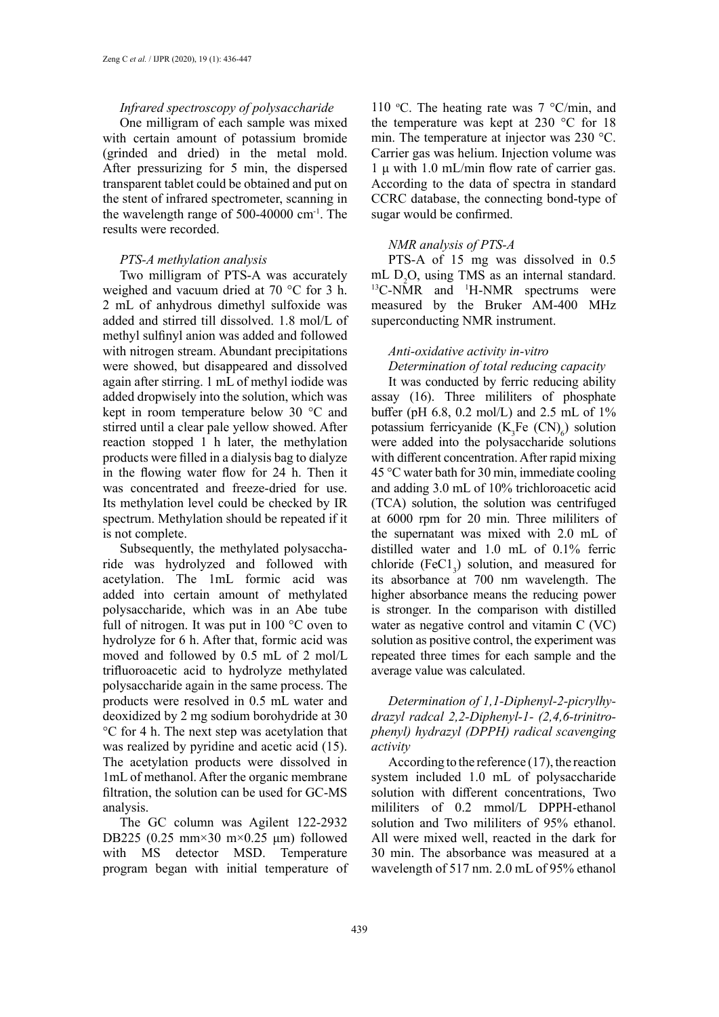### *Infrared spectroscopy of polysaccharide*

One milligram of each sample was mixed with certain amount of potassium bromide (grinded and dried) in the metal mold. After pressurizing for 5 min, the dispersed transparent tablet could be obtained and put on the stent of infrared spectrometer, scanning in the wavelength range of 500-40000 cm-1. The results were recorded.

## *PTS-A methylation analysis*

Two milligram of PTS-A was accurately weighed and vacuum dried at 70 °C for 3 h. 2 mL of anhydrous dimethyl sulfoxide was added and stirred till dissolved. 1.8 mol/L of methyl sulfinyl anion was added and followed with nitrogen stream. Abundant precipitations were showed, but disappeared and dissolved again after stirring. 1 mL of methyl iodide was added dropwisely into the solution, which was kept in room temperature below 30 °C and stirred until a clear pale yellow showed. After reaction stopped 1 h later, the methylation products were filled in a dialysis bag to dialyze in the flowing water flow for 24 h. Then it was concentrated and freeze-dried for use. Its methylation level could be checked by IR spectrum. Methylation should be repeated if it is not complete.

Subsequently, the methylated polysaccharide was hydrolyzed and followed with acetylation. The 1mL formic acid was added into certain amount of methylated polysaccharide, which was in an Abe tube full of nitrogen. It was put in 100 °C oven to hydrolyze for 6 h. After that, formic acid was moved and followed by 0.5 mL of 2 mol/L trifluoroacetic acid to hydrolyze methylated polysaccharide again in the same process. The products were resolved in 0.5 mL water and deoxidized by 2 mg sodium borohydride at 30 °C for 4 h. The next step was acetylation that was realized by pyridine and acetic acid (15). The acetylation products were dissolved in 1mL of methanol. After the organic membrane filtration, the solution can be used for GC-MS analysis.

The GC column was Agilent 122-2932 DB225 (0.25 mm×30 m×0.25 μm) followed with MS detector MSD. Temperature program began with initial temperature of 110 °C. The heating rate was  $7 \text{ °C/min}$ , and the temperature was kept at 230 °C for 18 min. The temperature at injector was 230 °C. Carrier gas was helium. Injection volume was 1 μ with 1.0 mL/min flow rate of carrier gas. According to the data of spectra in standard CCRC database, the connecting bond-type of sugar would be confirmed.

## *NMR analysis of PTS-A*

PTS-A of 15 mg was dissolved in 0.5 mL D<sub>,</sub>O, using TMS as an internal standard. mL  $D_2O$ , using TMS as an internal standard.<br><sup>13</sup>C-NMR and <sup>1</sup>H-NMR spectrums were measured by the Bruker AM-400 MHz superconducting NMR instrument.

# *Anti-oxidative activity in-vitro Determination of total reducing capacity*

It was conducted by ferric reducing ability assay (16). Three mililiters of phosphate buffer (pH 6.8, 0.2 mol/L) and 2.5 mL of 1% potassium ferricyanide  $(K_3Fe~(CN)_6)$  solution were added into the polysaccharide solutions with different concentration. After rapid mixing 45 °C water bath for 30 min, immediate cooling and adding 3.0 mL of 10% trichloroacetic acid (TCA) solution, the solution was centrifuged at 6000 rpm for 20 min. Three mililiters of the supernatant was mixed with 2.0 mL of distilled water and 1.0 mL of 0.1% ferric chloride  $(FeCl<sub>3</sub>)$  solution, and measured for its absorbance at 700 nm wavelength. The higher absorbance means the reducing power is stronger. In the comparison with distilled water as negative control and vitamin C (VC) solution as positive control, the experiment was repeated three times for each sample and the average value was calculated.

## *Determination of 1,1-Diphenyl-2-picrylhydrazyl radcal 2,2-Diphenyl-1- (2,4,6-trinitrophenyl) hydrazyl (DPPH) radical scavenging activity*

According to the reference (17), the reaction system included 1.0 mL of polysaccharide solution with different concentrations, Two mililiters of 0.2 mmol/L DPPH-ethanol solution and Two mililiters of 95% ethanol. All were mixed well, reacted in the dark for 30 min. The absorbance was measured at a wavelength of 517 nm. 2.0 mL of 95% ethanol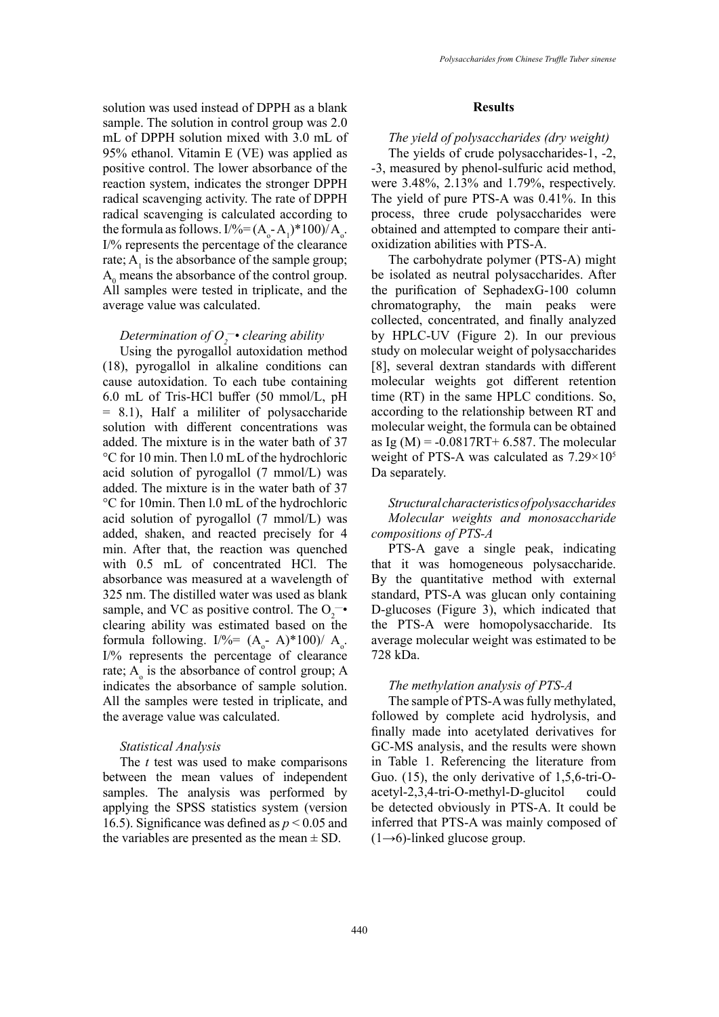solution was used instead of DPPH as a blank sample. The solution in control group was 2.0 mL of DPPH solution mixed with 3.0 mL of 95% ethanol. Vitamin E (VE) was applied as positive control. The lower absorbance of the reaction system, indicates the stronger DPPH radical scavenging activity. The rate of DPPH radical scavenging is calculated according to the formula as follows.  $I\frac{\%}{\%} = (A_0 - A_1)^* 100 / A_0$ . I/% represents the percentage of the clearance rate;  $A_1$  is the absorbance of the sample group;  $A_0$  means the absorbance of the control group. All samples were tested in triplicate, and the average value was calculated.

# *Determination of O2 —• clearing ability*

Using the pyrogallol autoxidation method (18), pyrogallol in alkaline conditions can cause autoxidation. To each tube containing 6.0 mL of Tris-HCl buffer (50 mmol/L, pH = 8.1), Half a mililiter of polysaccharide solution with different concentrations was added. The mixture is in the water bath of 37 °C for 10 min. Then l.0 mL of the hydrochloric acid solution of pyrogallol (7 mmol/L) was added. The mixture is in the water bath of 37 °C for 10min. Then l.0 mL of the hydrochloric acid solution of pyrogallol (7 mmol/L) was added, shaken, and reacted precisely for 4 min. After that, the reaction was quenched with 0.5 mL of concentrated HCl. The absorbance was measured at a wavelength of 325 nm. The distilled water was used as blank sample, and VC as positive control. The  $O_2$ <sup>-•</sup> clearing ability was estimated based on the formula following. I/%=  $(A_0 - A)*100$ )/  $A_0$ . I/% represents the percentage of clearance rate;  $A_0$  is the absorbance of control group; A indicates the absorbance of sample solution. All the samples were tested in triplicate, and the average value was calculated.

### *Statistical Analysis*

The *t* test was used to make comparisons between the mean values of independent samples. The analysis was performed by applying the SPSS statistics system (version 16.5). Significance was defined as *p* < 0.05 and the variables are presented as the mean  $\pm$  SD.

#### **Results**

#### *The yield of polysaccharides (dry weight)*

The yields of crude polysaccharides-1, -2, -3, measured by phenol-sulfuric acid method, were 3.48%, 2.13% and 1.79%, respectively. The yield of pure PTS-A was 0.41%. In this process, three crude polysaccharides were obtained and attempted to compare their antioxidization abilities with PTS-A.

The carbohydrate polymer (PTS-A) might be isolated as neutral polysaccharides. After the purification of SephadexG-100 column chromatography, the main peaks were collected, concentrated, and finally analyzed by HPLC-UV (Figure 2). In our previous study on molecular weight of polysaccharides [8], several dextran standards with different molecular weights got different retention time (RT) in the same HPLC conditions. So, according to the relationship between RT and molecular weight, the formula can be obtained as Ig (M) =  $-0.0817RT+6.587$ . The molecular weight of PTS-A was calculated as 7.29×105 Da separately.

# *Structural characteristics of polysaccharides Molecular weights and monosaccharide compositions of PTS-A*

PTS-A gave a single peak, indicating that it was homogeneous polysaccharide. By the quantitative method with external standard, PTS-A was glucan only containing D-glucoses (Figure 3), which indicated that the PTS-A were homopolysaccharide. Its average molecular weight was estimated to be 728 kDa.

#### *The methylation analysis of PTS-A*

The sample of PTS-A was fully methylated, followed by complete acid hydrolysis, and finally made into acetylated derivatives for GC-MS analysis, and the results were shown in Table 1. Referencing the literature from Guo. (15), the only derivative of 1,5,6-tri-Oacetyl-2,3,4-tri-O-methyl-D-glucitol could be detected obviously in PTS-A. It could be inferred that PTS-A was mainly composed of  $(1\rightarrow 6)$ -linked glucose group.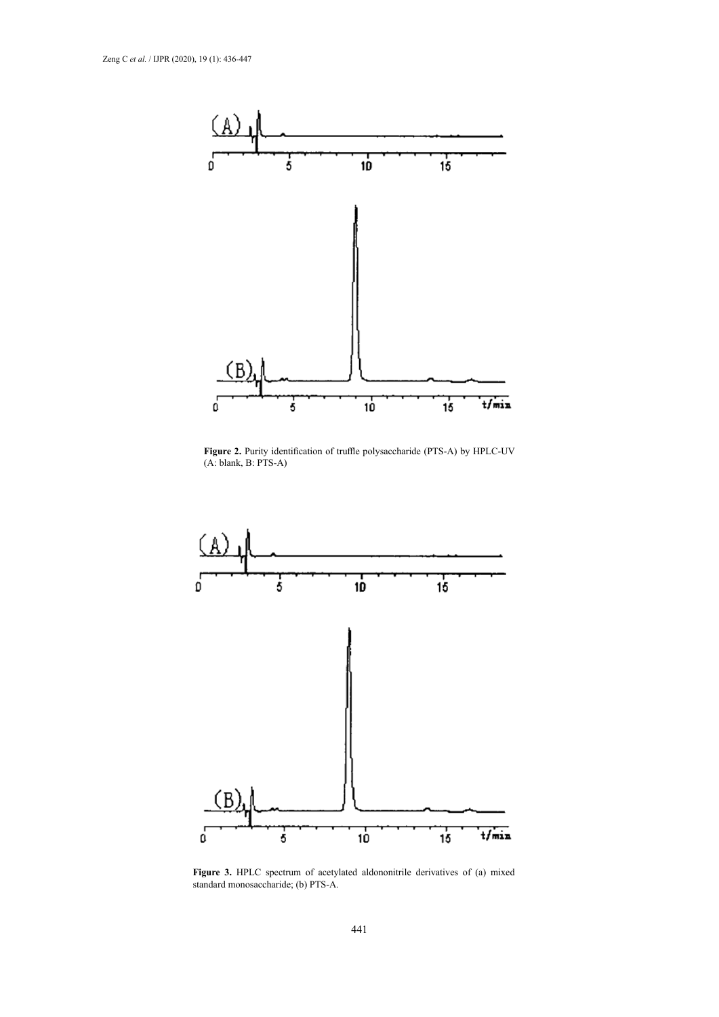

**Figure 2.** Purity identification of truffle polysaccharide (PTS-A) by HPLC-UV (A: blank, B: PTS-A)



standard monosaccharide; (b) PTS-A. Figure 3. HPLC spectrum of acetylated aldononitrile derivatives of (a) mixed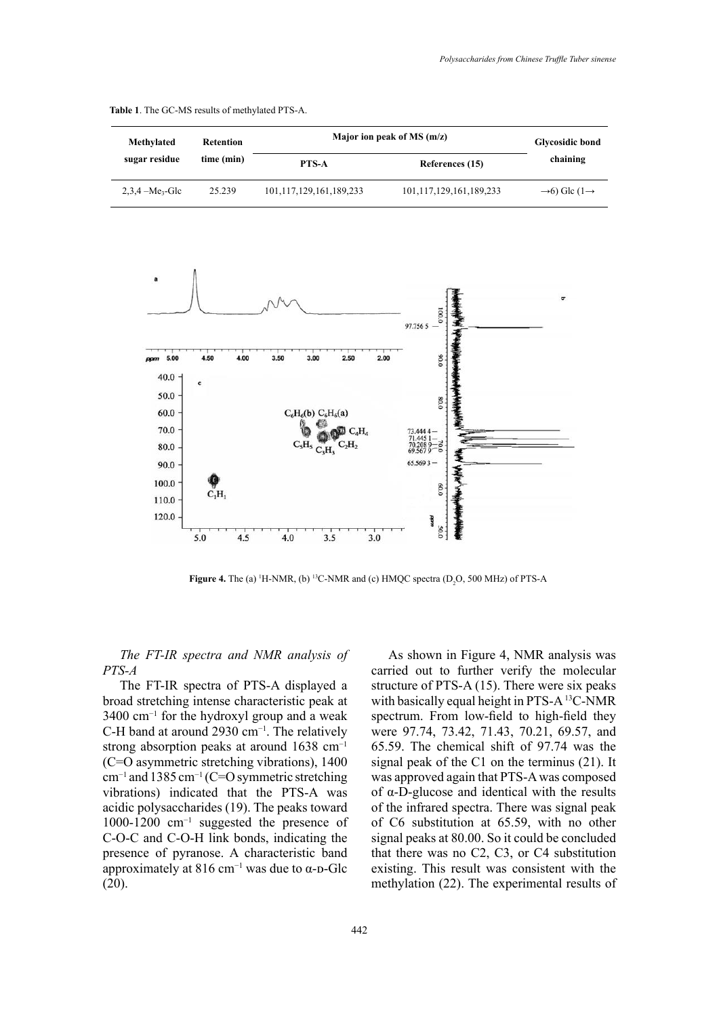| Methylated<br>sugar residue | Retention<br>time (min) | Major ion peak of MS $(m/z)$ |                         | <b>Glycosidic bond</b>               |
|-----------------------------|-------------------------|------------------------------|-------------------------|--------------------------------------|
|                             |                         | <b>PTS-A</b>                 | References (15)         | chaining                             |
| $2,3,4 - Me3-Glc$           | 25.239                  | 101,117,129,161,189,233      | 101,117,129,161,189,233 | $\rightarrow$ 6 Glc (1 $\rightarrow$ |

**Table 1**. The GC-MS results of methylated PTS-A.



**Figure 4.** The (a) <sup>1</sup>H-NMR, (b) <sup>13</sup>C-NMR and (c) HMQC spectra (D<sub>2</sub>O, 500 MHz) of PTS-A

# *The FT-IR spectra and NMR analysis of PTS-A*

The FT-IR spectra of PTS-A displayed a broad stretching intense characteristic peak at 3400 cm−1 for the hydroxyl group and a weak C-H band at around 2930 cm−1. The relatively strong absorption peaks at around 1638 cm−1 (C=O asymmetric stretching vibrations), 1400 cm−1 and 1385 cm−1 (C=O symmetric stretching vibrations) indicated that the PTS-A was acidic polysaccharides (19). The peaks toward 1000-1200 cm−1 suggested the presence of C-O-C and C-O-H link bonds, indicating the presence of pyranose. A characteristic band approximately at 816 cm<sup>-1</sup> was due to  $\alpha$ -D-Glc (20).

As shown in Figure 4, NMR analysis was carried out to further verify the molecular structure of PTS-A (15). There were six peaks with basically equal height in PTS-A <sup>13</sup>C-NMR spectrum. From low-field to high-field they were 97.74, 73.42, 71.43, 70.21, 69.57, and 65.59. The chemical shift of 97.74 was the signal peak of the C1 on the terminus (21). It was approved again that PTS-A was composed of α-D-glucose and identical with the results of the infrared spectra. There was signal peak of C6 substitution at 65.59, with no other signal peaks at 80.00. So it could be concluded that there was no C2, C3, or C4 substitution existing. This result was consistent with the methylation (22). The experimental results of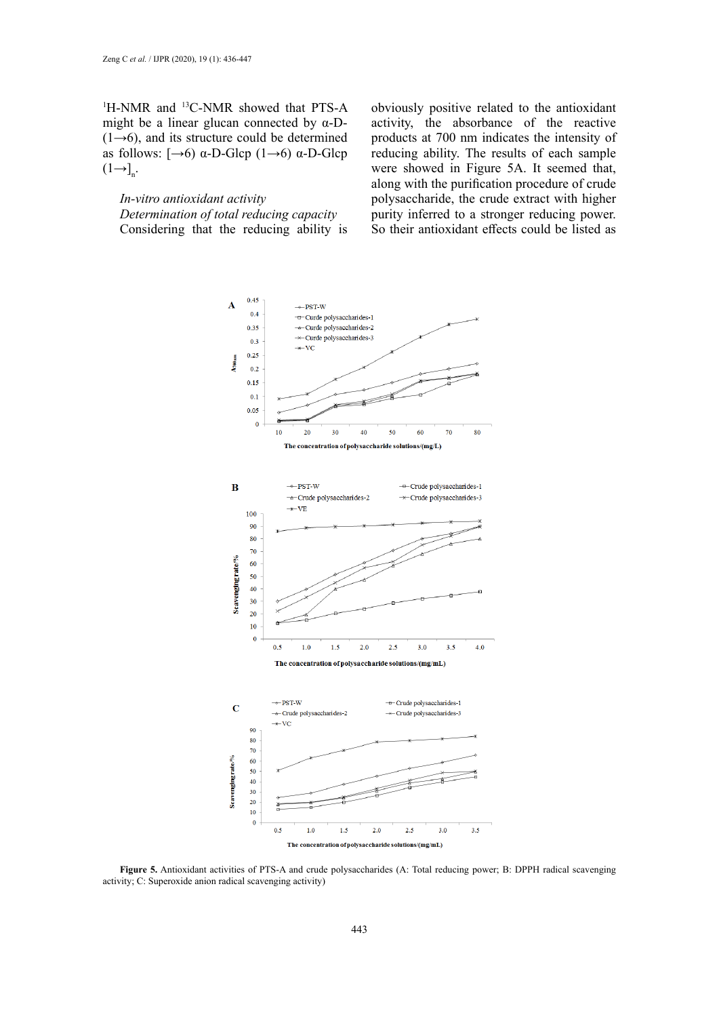<sup>1</sup>H-NMR and <sup>13</sup>C-NMR showed that PTS-A might be a linear glucan connected by  $\alpha$ -D- $(1\rightarrow 6)$ , and its structure could be determined as follows:  $\left[\rightarrow 6\right]$  α-D-Glcp  $(1\rightarrow 6)$  α-D-Glcp  $(1-\lambda)$ <sub>n</sub>.

*In-vitro antioxidant activity Determination of total reducing capacity* Considering that the reducing ability is

obviously positive related to the antioxidant activity, the absorbance of the reactive products at 700 nm indicates the intensity of reducing ability. The results of each sample were showed in Figure 5A. It seemed that, along with the purification procedure of crude polysaccharide, the crude extract with higher purity inferred to a stronger reducing power. So their antioxidant effects could be listed as



activity; C: Superoxide anion radical scavenging activity) **Figure 5.** Antioxidant activities of PTS-A and crude polysaccharides (A: Total reducing power; B: DPPH radical scavenging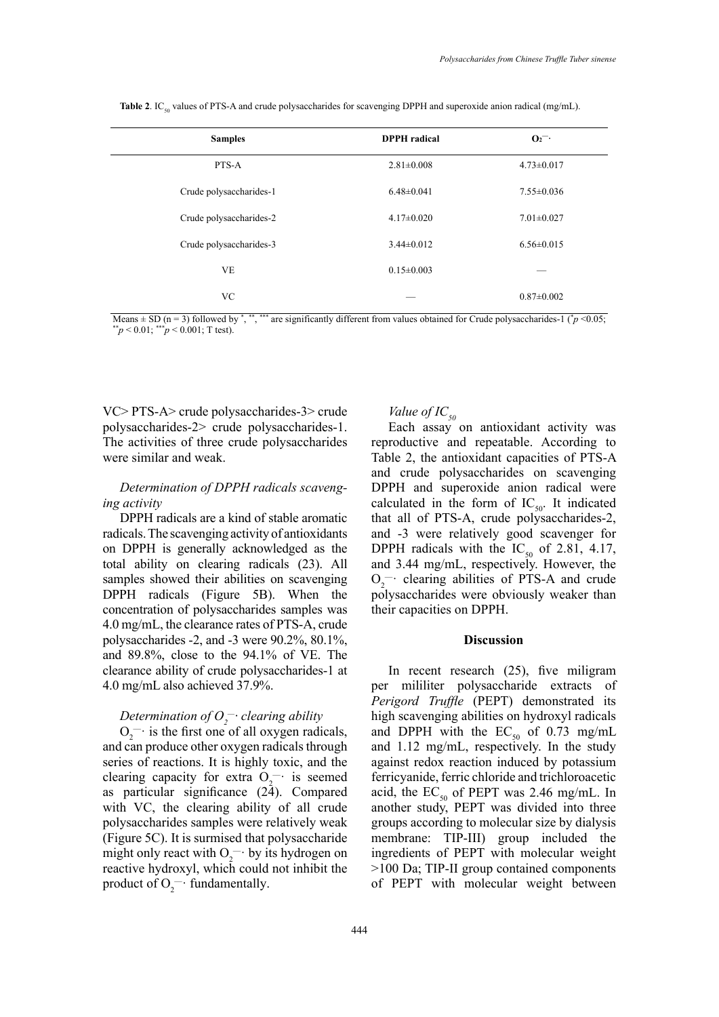| <b>Samples</b>          | <b>DPPH</b> radical | $O_2$ <sup>-</sup> |
|-------------------------|---------------------|--------------------|
| PTS-A                   | $2.81 \pm 0.008$    | $4.73 \pm 0.017$   |
| Crude polysaccharides-1 | $6.48 \pm 0.041$    | $7.55 \pm 0.036$   |
| Crude polysaccharides-2 | $4.17\pm0.020$      | $7.01 \pm 0.027$   |
| Crude polysaccharides-3 | $3.44\pm0.012$      | $6.56 \pm 0.015$   |
| <b>VE</b>               | $0.15 \pm 0.003$    |                    |
| VC                      |                     | $0.87 \pm 0.002$   |

Table 2. IC<sub>50</sub> values of PTS-A and crude polysaccharides for scavenging DPPH and superoxide anion radical (mg/mL).

Means  $\pm$  SD (n = 3) followed by ", "" are significantly different from values obtained for Crude polysaccharides-1 ( $\dot{p}$  < 0.05;  $p < 0.01$ ; \*\*\**p* < 0.001; T test).

VC> PTS-A> crude polysaccharides-3> crude polysaccharides-2> crude polysaccharides-1. The activities of three crude polysaccharides were similar and weak.

## *Determination of DPPH radicals scavenging activity*

DPPH radicals are a kind of stable aromatic radicals. The scavenging activity of antioxidants on DPPH is generally acknowledged as the total ability on clearing radicals (23). All samples showed their abilities on scavenging DPPH radicals (Figure 5B). When the concentration of polysaccharides samples was 4.0 mg/mL, the clearance rates of PTS-A, crude polysaccharides -2, and -3 were 90.2%, 80.1%, and 89.8%, close to the 94.1% of VE. The clearance ability of crude polysaccharides-1 at 4.0 mg/mL also achieved 37.9%.

# Determination of O<sub>2</sub><sup>--</sup> clearing ability

 $O_2$ <sup>-</sup> is the first one of all oxygen radicals, and can produce other oxygen radicals through series of reactions. It is highly toxic, and the clearing capacity for extra  $O_2$ <sup>-</sup> is seemed as particular significance (24). Compared with VC, the clearing ability of all crude polysaccharides samples were relatively weak (Figure 5C). It is surmised that polysaccharide might only react with  $O_2^-$  by its hydrogen on reactive hydroxyl, which could not inhibit the product of  $O_2^{\text{--}}$  fundamentally.

## *Value of IC*<sub>50</sub>

Each assay on antioxidant activity was reproductive and repeatable. According to Table 2, the antioxidant capacities of PTS-A and crude polysaccharides on scavenging DPPH and superoxide anion radical were calculated in the form of  $IC_{50}$ . It indicated that all of PTS-A, crude polysaccharides-2, and -3 were relatively good scavenger for DPPH radicals with the  $IC_{50}$  of 2.81, 4.17, and 3.44 mg/mL, respectively. However, the  $O_2$  clearing abilities of PTS-A and crude polysaccharides were obviously weaker than their capacities on DPPH.

#### **Discussion**

In recent research (25), five miligram per mililiter polysaccharide extracts of *Perigord Truffle* (PEPT) demonstrated its high scavenging abilities on hydroxyl radicals and DPPH with the  $EC_{50}$  of 0.73 mg/mL and 1.12 mg/mL, respectively. In the study against redox reaction induced by potassium ferricyanide, ferric chloride and trichloroacetic acid, the  $EC_{50}$  of PEPT was 2.46 mg/mL. In another study, PEPT was divided into three groups according to molecular size by dialysis membrane: TIP-III) group included the ingredients of PEPT with molecular weight >100 Da; TIP-II group contained components of PEPT with molecular weight between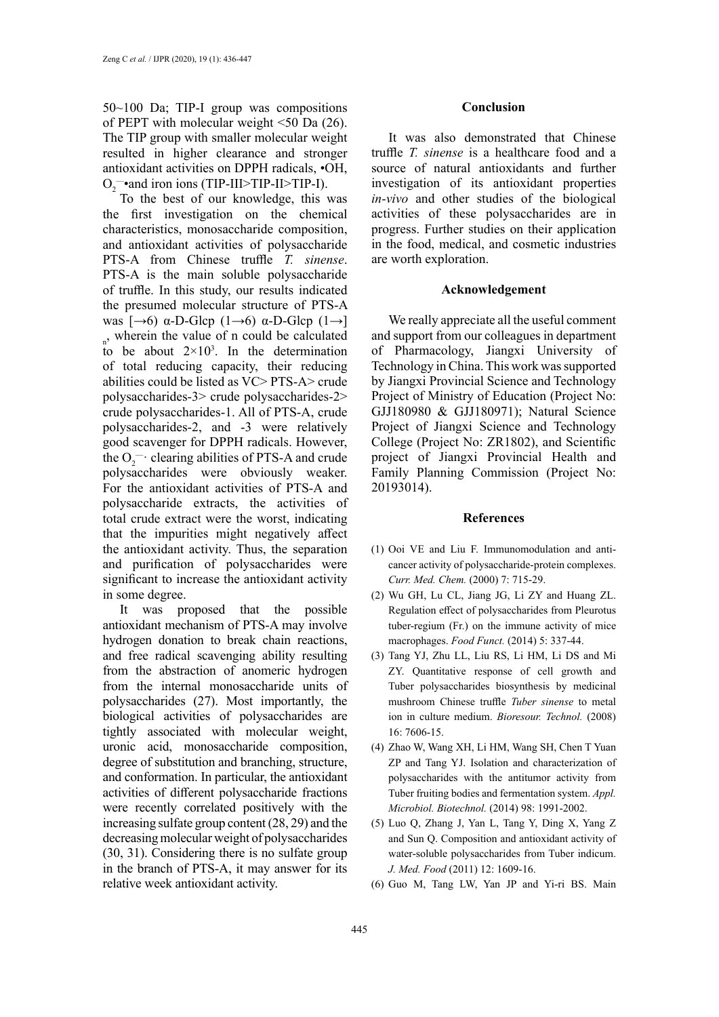50~100 Da; TIP-I group was compositions of PEPT with molecular weight <50 Da (26). The TIP group with smaller molecular weight resulted in higher clearance and stronger antioxidant activities on DPPH radicals, •OH,  $O_2$  and iron ions (TIP-III>TIP-II>TIP-I).

To the best of our knowledge, this was the first investigation on the chemical characteristics, monosaccharide composition, and antioxidant activities of polysaccharide PTS-A from Chinese truffle *T. sinense*. PTS-A is the main soluble polysaccharide of truffle. In this study, our results indicated the presumed molecular structure of PTS-A was  $\left[\rightarrow 6\right)$  α-D-Glcp  $(1\rightarrow 6)$  α-D-Glcp  $(1\rightarrow)$ <sub>n</sub>, wherein the value of n could be calculated to be about  $2 \times 10^3$ . In the determination of total reducing capacity, their reducing abilities could be listed as VC> PTS-A> crude polysaccharides-3> crude polysaccharides-2> crude polysaccharides-1. All of PTS-A, crude polysaccharides-2, and -3 were relatively good scavenger for DPPH radicals. However, the  $O_2$ <sup>--</sup> clearing abilities of PTS-A and crude polysaccharides were obviously weaker. For the antioxidant activities of PTS-A and polysaccharide extracts, the activities of total crude extract were the worst, indicating that the impurities might negatively affect the antioxidant activity. Thus, the separation and purification of polysaccharides were significant to increase the antioxidant activity in some degree.

It was proposed that the possible antioxidant mechanism of PTS-A may involve hydrogen donation to break chain reactions, and free radical scavenging ability resulting from the abstraction of anomeric hydrogen from the internal monosaccharide units of polysaccharides (27). Most importantly, the biological activities of polysaccharides are tightly associated with molecular weight, uronic acid, monosaccharide composition, degree of substitution and branching, structure, and conformation. In particular, the antioxidant activities of different polysaccharide fractions were recently correlated positively with the increasing sulfate group content (28, 29) and the decreasing molecular weight of polysaccharides (30, 31). Considering there is no sulfate group in the branch of PTS-A, it may answer for its relative week antioxidant activity.

#### **Conclusion**

It was also demonstrated that Chinese truffle *T. sinense* is a healthcare food and a source of natural antioxidants and further investigation of its antioxidant properties *in-vivo* and other studies of the biological activities of these polysaccharides are in progress. Further studies on their application in the food, medical, and cosmetic industries are worth exploration.

#### **Acknowledgement**

We really appreciate all the useful comment and support from our colleagues in department of Pharmacology, Jiangxi University of Technology in China. This work was supported by Jiangxi Provincial Science and Technology Project of Ministry of Education (Project No: GJJ180980 & GJJ180971); Natural Science Project of Jiangxi Science and Technology College (Project No: ZR1802), and Scientific project of Jiangxi Provincial Health and Family Planning Commission (Project No: 20193014).

#### **References**

- (1) Ooi VE and Liu F. Immunomodulation and anticancer activity of polysaccharide-protein complexes. *Curr. Med. Chem.* (2000) 7: 715-29.
- (2) Wu GH, Lu CL, Jiang JG, Li ZY and Huang ZL. Regulation effect of polysaccharides from Pleurotus tuber-regium (Fr.) on the immune activity of mice macrophages. *Food Funct.* (2014) 5: 337-44.
- (3) Tang YJ, Zhu LL, Liu RS, Li HM, Li DS and Mi ZY. Quantitative response of cell growth and Tuber polysaccharides biosynthesis by medicinal mushroom Chinese truffle *Tuber sinense* to metal ion in culture medium. *Bioresour. Technol.* (2008) 16: 7606-15.
- (4) Zhao W, Wang XH, Li HM, Wang SH, Chen T Yuan ZP and Tang YJ. Isolation and characterization of polysaccharides with the antitumor activity from Tuber fruiting bodies and fermentation system. *Appl. Microbiol. Biotechnol.* (2014) 98: 1991-2002.
- (5) Luo Q, Zhang J, Yan L, Tang Y, Ding X, Yang Z and Sun Q. Composition and antioxidant activity of water-soluble polysaccharides from Tuber indicum. *J. Med. Food* (2011) 12: 1609-16.
- (6) Guo M, Tang LW, Yan JP and Yi-ri BS. Main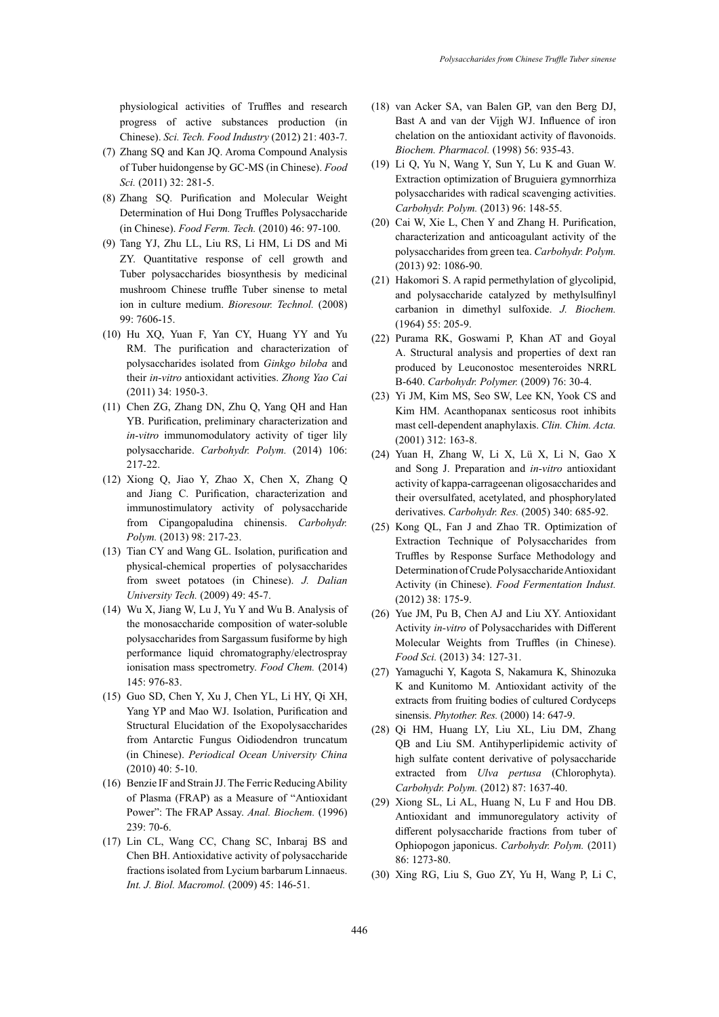physiological activities of Truffles and research progress of active substances production (in Chinese). *Sci. Tech. Food Industry* (2012) 21: 403-7.

- (7) Zhang SQ and Kan JQ. Aroma Compound Analysis of Tuber huidongense by GC-MS (in Chinese). *Food Sci.* (2011) 32: 281-5.
- (8) Zhang SQ. Purification and Molecular Weight Determination of Hui Dong Truffles Polysaccharide (in Chinese). *Food Ferm. Tech.* (2010) 46: 97-100.
- (9) Tang YJ, Zhu LL, Liu RS, Li HM, Li DS and Mi ZY. Quantitative response of cell growth and Tuber polysaccharides biosynthesis by medicinal mushroom Chinese truffle Tuber sinense to metal ion in culture medium. *Bioresour. Technol.* (2008) 99: 7606-15.
- (10) Hu XQ, Yuan F, Yan CY, Huang YY and Yu RM. The purification and characterization of polysaccharides isolated from *Ginkgo biloba* and their *in-vitro* antioxidant activities. *Zhong Yao Cai* (2011) 34: 1950-3.
- (11) Chen ZG, Zhang DN, Zhu Q, Yang QH and Han YB. Purification, preliminary characterization and *in-vitro* immunomodulatory activity of tiger lily polysaccharide. *Carbohydr. Polym.* (2014) 106: 217-22.
- (12) Xiong Q, Jiao Y, Zhao X, Chen X, Zhang Q and Jiang C. Purification, characterization and immunostimulatory activity of polysaccharide from Cipangopaludina chinensis. *Carbohydr. Polym.* (2013) 98: 217-23.
- (13) Tian CY and Wang GL. Isolation, purification and physical-chemical properties of polysaccharides from sweet potatoes (in Chinese). *J. Dalian University Tech.* (2009) 49: 45-7.
- (14) Wu X, Jiang W, Lu J, Yu Y and Wu B. Analysis of the monosaccharide composition of water-soluble polysaccharides from Sargassum fusiforme by high performance liquid chromatography/electrospray ionisation mass spectrometry. *Food Chem.* (2014) 145: 976-83.
- (15) Guo SD, Chen Y, Xu J, Chen YL, Li HY, Qi XH, Yang YP and Mao WJ. Isolation, Purification and Structural Elucidation of the Exopolysaccharides from Antarctic Fungus Oidiodendron truncatum (in Chinese). *Periodical Ocean University China* (2010) 40: 5-10.
- (16) Benzie IF and Strain JJ. The Ferric Reducing Ability of Plasma (FRAP) as a Measure of "Antioxidant Power": The FRAP Assay. *Anal. Biochem.* (1996) 239: 70-6.
- (17) Lin CL, Wang CC, Chang SC, Inbaraj BS and Chen BH. Antioxidative activity of polysaccharide fractions isolated from Lycium barbarum Linnaeus. *Int. J. Biol. Macromol.* (2009) 45: 146-51.
- (18) van Acker SA, van Balen GP, van den Berg DJ, Bast A and van der Vijgh WJ. Influence of iron chelation on the antioxidant activity of flavonoids. *Biochem. Pharmacol.* (1998) 56: 935-43.
- (19) Li Q, Yu N, Wang Y, Sun Y, Lu K and Guan W. Extraction optimization of Bruguiera gymnorrhiza polysaccharides with radical scavenging activities. *Carbohydr. Polym.* (2013) 96: 148-55.
- (20) Cai W, Xie L, Chen Y and Zhang H. Purification, characterization and anticoagulant activity of the polysaccharides from green tea. *Carbohydr. Polym.* (2013) 92: 1086-90.
- (21) Hakomori S. A rapid permethylation of glycolipid, and polysaccharide catalyzed by methylsulfinyl carbanion in dimethyl sulfoxide. *J. Biochem.* (1964) 55: 205-9.
- (22) Purama RK, Goswami P, Khan AT and Goyal A. Structural analysis and properties of dext ran produced by Leuconostoc mesenteroides NRRL B-640. *Carbohydr. Polymer.* (2009) 76: 30-4.
- (23) Yi JM, Kim MS, Seo SW, Lee KN, Yook CS and Kim HM. Acanthopanax senticosus root inhibits mast cell-dependent anaphylaxis. *Clin. Chim. Acta.* (2001) 312: 163-8.
- (24) Yuan H, Zhang W, Li X, Lü X, Li N, Gao X and Song J. Preparation and *in-vitro* antioxidant activity of kappa-carrageenan oligosaccharides and their oversulfated, acetylated, and phosphorylated derivatives. *Carbohydr. Res.* (2005) 340: 685-92.
- (25) Kong QL, Fan J and Zhao TR. Optimization of Extraction Technique of Polysaccharides from Truffles by Response Surface Methodology and Determination of Crude Polysaccharide Antioxidant Activity (in Chinese). *Food Fermentation Indust.* (2012) 38: 175-9.
- (26) Yue JM, Pu B, Chen AJ and Liu XY. Antioxidant Activity *in-vitro* of Polysaccharides with Different Molecular Weights from Truffles (in Chinese). *Food Sci.* (2013) 34: 127-31.
- (27) Yamaguchi Y, Kagota S, Nakamura K, Shinozuka K and Kunitomo M. Antioxidant activity of the extracts from fruiting bodies of cultured Cordyceps sinensis. *Phytother. Res.* (2000) 14: 647-9.
- (28) Qi HM, Huang LY, Liu XL, Liu DM, Zhang QB and Liu SM. Antihyperlipidemic activity of high sulfate content derivative of polysaccharide extracted from *Ulva pertusa* (Chlorophyta). *Carbohydr. Polym.* (2012) 87: 1637-40.
- (29) Xiong SL, Li AL, Huang N, Lu F and Hou DB. Antioxidant and immunoregulatory activity of different polysaccharide fractions from tuber of Ophiopogon japonicus. *Carbohydr. Polym.* (2011) 86: 1273-80.
- (30) Xing RG, Liu S, Guo ZY, Yu H, Wang P, Li C,